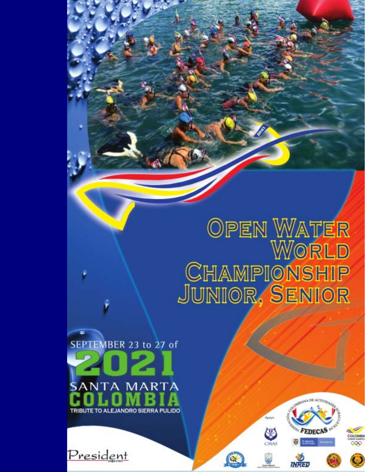# OPEN WATER<br>World CHAMPIONSHIP<br>JUNIOR, SENIOR

 $\mathbf{Q}_k$ 

SEPTEMBER 23 to 27 of **SANTA MARTA** 



<u>President</u>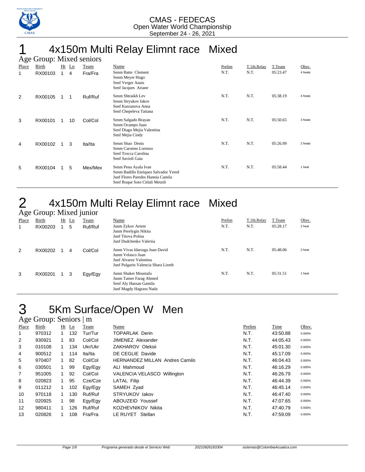

## 1 4x150m Multi Relay Elimnt race Mixed

|       | Age Group: Mixed seniors |                |         |         |                                                                                                                                      |        |             |          |         |  |  |  |  |
|-------|--------------------------|----------------|---------|---------|--------------------------------------------------------------------------------------------------------------------------------------|--------|-------------|----------|---------|--|--|--|--|
| Place | Birth                    |                | $Ht$ Ln | Team    | Name                                                                                                                                 | Prelim | T.1th.Relay | T.Team   | Obsv.   |  |  |  |  |
| 1     | RX00103                  | $\overline{1}$ | 4       | Fra/Fra | Senm Batte Clement<br>Senm Meyer Hugo<br>Senf Verger Anais<br>Senf Jacques Ariane                                                    | N.T.   | N.T.        | 05:23.47 | 4 heats |  |  |  |  |
| 2     | RX00105                  |                | 1       | Ruf/Ruf | Senm Shtraikh Lev<br>Senm Stryukov Iakov<br>Senf Karzunova Anna<br>Senf Chepeleva Tatiana                                            | N.T.   | N.T.        | 05:38.19 | 4 heats |  |  |  |  |
| 3     | RX00101                  |                | 10      | Col/Col | Senm Salgado Brayan<br>Senm Ocampo Juan<br>Senf Diago Mejia Valentina<br>Senf Mejia Cindy                                            | N.T.   | N.T.        | 05:50.65 | 3 heats |  |  |  |  |
| 4     | RX00102                  | 1              | 3       | Ita/Ita | Senm Shao Denis<br>Senm Caronno Lorenzo<br>Senf Trocca Carolina<br>Senf Savioli Gaia                                                 | N.T.   | N.T.        | 05:26.99 | 2 heats |  |  |  |  |
| 5     | RX00104                  |                | 5       | Mex/Mex | Senm Pena Ayala Ivan<br>Senm Badillo Enriquez Salvador Yered<br>Junf Flores Paredes Hannia Camila<br>Senf Roque Soto Citlali Metztli | N.T.   | N.T.        | 05:58.44 | 1 heat  |  |  |  |  |

## 2 4x150m Multi Relay Elimnt race Mixed

|       | Age Group: Mixed junior |    |                                    |         |                                                                                                                      |        |             |          |        |  |  |  |
|-------|-------------------------|----|------------------------------------|---------|----------------------------------------------------------------------------------------------------------------------|--------|-------------|----------|--------|--|--|--|
| Place | Birth                   | Ht | $\mathop{\underline{\mathsf{Ln}}}$ | Team    | Name                                                                                                                 | Prelim | T.1th.Relay | T.Team   | Obsv.  |  |  |  |
|       | RX00203                 |    | 5                                  | Ruf/Ruf | Junm Zykov Artem<br>Junm Perelygin Nikita<br>Junf Titova Polina<br>Junf Dudchenko Valeriia                           | N.T.   | N.T.        | 05:28.17 | 2 heat |  |  |  |
| 2     | RX00202                 |    | 4                                  | Col/Col | Junm Vivas Idarraga Juan David<br>Junm Velasco Juan<br>Junf Alvarez Valentina<br>Junf Pulgarin Valencia Shara Lizeth | N.T.   | N.T.        | 05:48.06 | 2 heat |  |  |  |
| 3     | RX00201                 |    | 3                                  | Egy/Egy | Junm Shaker Moustafa<br>Junm Tamer Farag Ahmed<br>Senf Aly Hassan Gamila<br>Junf Magdy Hagrass Nada                  | N.T.   | N.T.        | 05:31.51 | 1 heat |  |  |  |

## 3 5Km Surface/Open W Men

#### Age Group: Seniors | m

| Place          | Birth  | Ht | Ln  | Team    | Name                                  | Prelim | Time     | Obsv.  |
|----------------|--------|----|-----|---------|---------------------------------------|--------|----------|--------|
| 1              | 970312 | 1. | 132 | Tur/Tur | <b>TOPARLAK Derin</b>                 | N.T.   | 43:50.88 | 0.000% |
| 2              | 930921 |    | 83  | Col/Col | <b>JIMENEZ Alexander</b>              | N.T.   | 44:05.43 | 0.000% |
| 3              | 010108 |    | 134 | Ukr/Ukr | ZAKHAROV Oleksii                      | N.T.   | 45:01.30 | 0.000% |
| 4              | 900512 | 1. | 114 | Ita/Ita | DE CEGLIE Davide                      | N.T.   | 45:17.09 | 0.000% |
| 5              | 970407 | 1. | 82  | Col/Col | <b>HERNANDEZ MILLAN Andres Camilo</b> | N.T.   | 46:04.43 | 0.000% |
| 6              | 030501 | 1. | 99  | Egy/Egy | ALI Mahmoud                           | N.T.   | 46:16.29 | 0.000% |
| $\overline{7}$ | 951005 | 1. | 92  | Col/Col | VALENCIA VELASCO Willington           | N.T.   | 46:26.79 | 0.000% |
| 8              | 020823 |    | 95  | Cze/Cze | LATAL Filip                           | N.T.   | 46:44.39 | 0.000% |
| 9              | 011212 | 1  | 102 | Egy/Egy | SAMEH Zyad                            | N.T.   | 46:45.14 | 0.000% |
| 10             | 970118 | 1  | 130 | Ruf/Ruf | STRYUKOV lakov                        | N.T.   | 46:47.40 | 0.000% |
| 11             | 020925 | 1. | 98  | Egy/Egy | ABOUZEID Youssef                      | N.T.   | 47:07.65 | 0.000% |
| 12             | 980411 |    | 126 | Ruf/Ruf | KOZHEVNIKOV Nikita                    | N.T.   | 47:40.79 | 0.000% |
| 13             | 020826 |    | 108 | Fra/Fra | LE RUYET Stellan                      | N.T.   | 47:59.09 | 0.000% |
|                |        |    |     |         |                                       |        |          |        |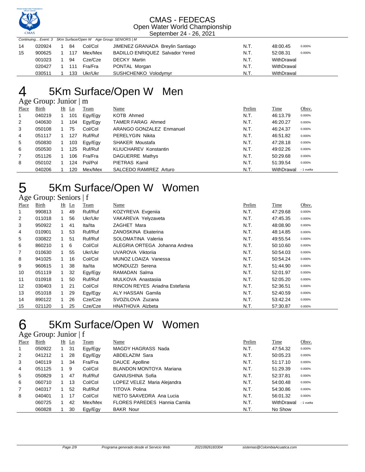

| Continuing Event: 3 5Km Surface/Open W Age Group: SENIORS   M |        |  |     |         |                                        |      |                    |  |  |
|---------------------------------------------------------------|--------|--|-----|---------|----------------------------------------|------|--------------------|--|--|
| 14                                                            | 020924 |  | 84  | Col/Col | JIMENEZ GRANADA Breylin Santiago       | N.T. | 48:00.45<br>0.000% |  |  |
| 15                                                            | 900625 |  | 117 | Mex/Mex | <b>BADILLO ENRIQUEZ Salvador Yered</b> | N.T. | 52:08.31<br>0.000% |  |  |
|                                                               | 001023 |  | 94  | Cze/Cze | <b>DECKY Martin</b>                    | N.T. | WithDrawal         |  |  |
|                                                               | 020427 |  | 111 | Fra/Fra | PONTAL Morgan                          | N.T. | WithDrawal         |  |  |
|                                                               | 030511 |  | 133 | Ukr/Ukr | SUSHCHENKO Volodymyr                   | N.T. | WithDrawal         |  |  |

## 5Km Surface/Open W Men

### Age Group: Junior | m

| Place          | Birth  | $Ht$ Ln | Team    | Name                         | Prelim | Time       | Obsv.      |
|----------------|--------|---------|---------|------------------------------|--------|------------|------------|
| $\mathbf{1}$   | 040219 | 101     | Egy/Egy | KOTB Ahmed                   | N.T.   | 46:13.79   | 0.000%     |
| 2              | 040630 | 104     | Eav/Eav | TAMER FARAG Ahmed            | N.T.   | 46:20.27   | 0.000%     |
| 3              | 050108 | 75      | Col/Col | ARANGO GONZALEZ Enmanuel     | N.T.   | 46:24.37   | 0.000%     |
| 4              | 051117 | 127     | Ruf/Ruf | PERELYGIN Nikita             | N.T.   | 46:51.82   | 0.000%     |
| 5              | 050830 | 103     | Egy/Egy | <b>SHAKER Moustafa</b>       | N.T.   | 47:28.18   | 0.000%     |
| 6              | 050530 | 125     | Ruf/Ruf | <b>KLIUCHAREV Konstantin</b> | N.T.   | 49:02.26   | 0.000%     |
| $\overline{7}$ | 051126 | 106     | Fra/Fra | <b>DAGUERRE Mathys</b>       | N.T.   | 50:29.68   | 0.000%     |
| 8              | 050102 | 124     | Pol/Pol | PIETRAS Kamil                | N.T.   | 51:39.54   | 0.000%     |
|                | 040206 | 120     | Mex/Mex | SALCEDO RAMIREZ Arturo       | N.T.   | WithDrawal | - 1 vuelta |

## 5 5Km Surface/Open W Women

#### Age Group: Seniors | f

| ັ              |        |    |         |         |                                |        |             |        |
|----------------|--------|----|---------|---------|--------------------------------|--------|-------------|--------|
| Place          | Birth  |    | $Ht$ Ln | Team    | Name                           | Prelim | <b>Time</b> | Obsv.  |
| 1              | 990813 |    | 49      | Ruf/Ruf | KOZYREVA Evgenija              | N.T.   | 47:29.68    | 0.000% |
| 2              | 011018 |    | 56      | Ukr/Ukr | VAKAREVA Yelyzaveta            | N.T.   | 47:45.35    | 0.000% |
| 3              | 950922 |    | 41      | Ita/Ita | ZAGHET Mara                    | N.T.   | 48:08.90    | 0.000% |
| 4              | 010901 |    | 53      | Ruf/Ruf | ZANOSKINA Ekaterina            | N.T.   | 48:14.85    | 0.000% |
| 5              | 030822 |    | 51      | Ruf/Ruf | SOLOMATINA Valerija            | N.T.   | 49:55.54    | 0.000% |
| 6              | 860210 |    | 6       | Col/Col | ALEGRIA ORTEGA Johanna Andrea  | N.T.   | 50:10.60    | 0.000% |
| $\overline{7}$ | 010630 |    | 55      | Ukr/Ukr | UVAROVA Viktorija              | N.T.   | 50.54.03    | 0.000% |
| 8              | 941025 |    | 16      | Col/Col | MUNOZ LOAIZA Vanessa           | N.T.   | 50:54.24    | 0.000% |
| 9              | 960615 |    | 38      | Ita/Ita | MONDUZZI Serena                | N.T.   | 51:44.90    | 0.000% |
| 10             | 051119 |    | 32      | Egy/Egy | RAMADAN Salma                  | N.T.   | 52:01.97    | 0.000% |
| 11             | 010918 |    | 50      | Ruf/Ruf | MULKOVA Anastasija             | N.T.   | 52:05.20    | 0.000% |
| 12             | 030403 | 1. | 21      | Col/Col | RINCON REYES Ariadna Estefania | N.T.   | 52:36.51    | 0.000% |
| 13             | 051018 |    | 29      | Egy/Egy | ALY HASSAN Gamila              | N.T.   | 52:40.59    | 0.000% |
| 14             | 890122 |    | 26      | Cze/Cze | SVOZILOVA Zuzana               | N.T.   | 53:42.24    | 0.000% |
| 15             | 021120 |    | 25      | Cze/Cze | <b>HNATHOVA Alzbeta</b>        | N.T.   | 57:30.87    | 0.000% |

## 5Km Surface/Open W Women

|                | Age Group: Junior $ f $ |    |         |         |                                     |        |            |            |  |  |  |  |
|----------------|-------------------------|----|---------|---------|-------------------------------------|--------|------------|------------|--|--|--|--|
| Place          | Birth                   |    | $Ht$ Ln | Team    | Name                                | Prelim | Time       | Obsv.      |  |  |  |  |
| 1              | 050922                  |    | 31      | Egy/Egy | MAGDY HAGRASS Nada                  | N.T.   | 47:54.32   | 0.000%     |  |  |  |  |
| 2              | 041212                  | 1  | 28      | Egy/Egy | ABDELAZIM Sara                      | N.T.   | 50:05.23   | 0.000%     |  |  |  |  |
| 3              | 040119                  | 1. | 34      | Fra/Fra | DAUCE Apolline                      | N.T.   | 51:17.10   | 0.000%     |  |  |  |  |
| 4              | 051125                  | 1  | 9       | Col/Col | BLANDON MONTOYA Mariana             | N.T.   | 51:29.39   | 0.000%     |  |  |  |  |
| 5              | 050829                  |    | 47      | Ruf/Ruf | GANIUSHINA Sofia                    | N.T.   | 52:37.81   | 0.000%     |  |  |  |  |
| 6              | 060710                  |    | 13      | Col/Col | LOPEZ VELEZ Maria Alejandra         | N.T.   | 54:00.48   | 0.000%     |  |  |  |  |
| $\overline{7}$ | 040317                  |    | 52      | Ruf/Ruf | TITOVA Polina                       | N.T.   | 54:30.86   | 0.000%     |  |  |  |  |
| 8              | 040401                  |    | 17      | Col/Col | NIETO SAAVEDRA Ana Lucia            | N.T.   | 56:01.32   | 0.000%     |  |  |  |  |
|                | 060725                  |    | 42      | Mex/Mex | <b>FLORES PAREDES Hannia Camila</b> | N.T.   | WithDrawal | - 1 vuelta |  |  |  |  |
|                | 060828                  |    | 30      | Egy/Egy | <b>BAKR Nour</b>                    | N.T.   | No Show    |            |  |  |  |  |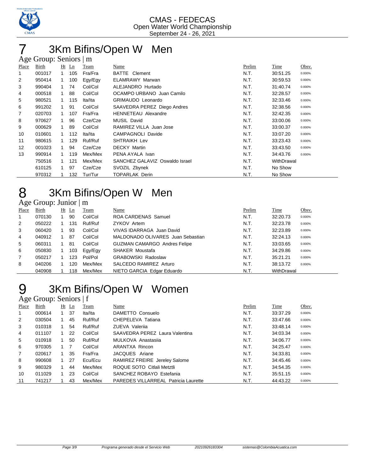

## 3Km Bifins/Open W Men

|                | Age Group: Seniors   m |              |         |         |                                |        |            |        |  |  |  |
|----------------|------------------------|--------------|---------|---------|--------------------------------|--------|------------|--------|--|--|--|
| Place          | Birth                  |              | $Ht$ Ln | Team    | Name                           | Prelim | Time       | Obsv.  |  |  |  |
| 1              | 001017                 |              | 105     | Fra/Fra | Clement<br><b>BATTE</b>        | N.T.   | 30:51.25   | 0.000% |  |  |  |
| $\overline{2}$ | 950414                 | 1            | 100     | Egy/Egy | <b>ELAMRAWY Marwan</b>         | N.T.   | 30:59.53   | 0.000% |  |  |  |
| 3              | 990404                 | 1            | 74      | Col/Col | ALEJANDRO Hurtado              | N.T.   | 31:40.74   | 0.000% |  |  |  |
| 4              | 000518                 | $\mathbf{1}$ | 88      | Col/Col | OCAMPO URBANO Juan Camilo      | N.T.   | 32:28.57   | 0.000% |  |  |  |
| 5              | 980521                 |              | 115     | Ita/Ita | <b>GRIMAUDO Leonardo</b>       | N.T.   | 32:33.46   | 0.000% |  |  |  |
| 6              | 991202                 |              | 91      | Col/Col | SAAVEDRA PEREZ Diego Andres    | N.T.   | 32:38.56   | 0.000% |  |  |  |
| 7              | 020703                 |              | 107     | Fra/Fra | <b>HENNETEAU Alexandre</b>     | N.T.   | 32:42.35   | 0.000% |  |  |  |
| 8              | 970627                 | 1            | 96      | Cze/Cze | <b>MUSIL David</b>             | N.T.   | 33:00.06   | 0.000% |  |  |  |
| 9              | 000629                 | 1.           | 89      | Col/Col | RAMIREZ VILLA Juan Jose        | N.T.   | 33:00.37   | 0.000% |  |  |  |
| 10             | 010601                 | 1            | 112     | Ita/Ita | <b>CAMPAGNOLI Davide</b>       | N.T.   | 33:07.20   | 0.000% |  |  |  |
| 11             | 980615                 | 1            | 129     | Ruf/Ruf | <b>SHTRAIKH Lev</b>            | N.T.   | 33:23.43   | 0.000% |  |  |  |
| 12             | 001023                 | $\mathbf 1$  | 94      | Cze/Cze | <b>DECKY Martin</b>            | N.T.   | 33:43.50   | 0.000% |  |  |  |
| 13             | 990914                 |              | 119     | Mex/Mex | PENA AYALA Ivan                | N.T.   | 34:43.76   | 0.000% |  |  |  |
|                | 750516                 |              | 121     | Mex/Mex | SANCHEZ GALAVIZ Oswaldo Israel | N.T.   | WithDrawal |        |  |  |  |
|                | 610125                 |              | 97      | Cze/Cze | SVOZIL Zbynek                  | N.T.   | No Show    |        |  |  |  |
|                | 970312                 |              | 132     | Tur/Tur | <b>TOPARLAK Derin</b>          | N.T.   | No Show    |        |  |  |  |

## 8 3Km Bifins/Open W Men

#### Age Group: Junior | m

| Place          | Birth  | $Ht$ Ln | Team    | Name                                | Prelim | Time       | Obsv.  |
|----------------|--------|---------|---------|-------------------------------------|--------|------------|--------|
| $\mathbf 1$    | 070130 | 90      | Col/Col | <b>ROA CARDENAS Samuel</b>          | N.T.   | 32:20.73   | 0.000% |
| 2              | 050222 | 131     | Ruf/Ruf | ZYKOV Artem                         | N.T.   | 32:23.78   | 0.000% |
| 3              | 060420 | 93      | Col/Col | VIVAS IDARRAGA Juan David           | N.T.   | 32:23.89   | 0.000% |
| $\overline{4}$ | 040912 | 87      | Col/Col | MALDONADO OLIVARES Juan Sebastian   | N.T.   | 32:24.13   | 0.000% |
| 5              | 060311 | -81     | Col/Col | <b>GUZMAN CAMARGO Andres Felipe</b> | N.T.   | 33:03.65   | 0.000% |
| 6              | 050830 | 103     | Egy/Egy | <b>SHAKER Moustafa</b>              | N.T.   | 34:29.86   | 0.000% |
| $\overline{7}$ | 050217 | 123     | Pol/Pol | <b>GRABOWSKI Radoslaw</b>           | N.T.   | 35:21.21   | 0.000% |
| 8              | 040206 | 120     | Mex/Mex | SALCEDO RAMIREZ Arturo              | N.T.   | 38:13.72   | 0.000% |
|                | 040908 | 118     | Mex/Mex | NIETO GARCIA Edgar Eduardo          | N.T.   | WithDrawal |        |

### 3Km Bifins/Open W Women Age Group: Seniors | f

| Place | Birth  |   | $Ht$ Ln | Team    | Name                                        | Prelim | Time     | Obsv.  |
|-------|--------|---|---------|---------|---------------------------------------------|--------|----------|--------|
|       | 000614 |   | -37     | Ita/Ita | DAMETTO Consuelo                            | N.T.   | 33:37.29 | 0.000% |
| 2     | 030504 |   | 45      | Ruf/Ruf | CHEPELEVA Tatiana                           | N.T.   | 33:47.66 | 0.000% |
| 3     | 010318 |   | 54      | Ruf/Ruf | ZUEVA Valerija                              | N.T.   | 33:48.14 | 0.000% |
| 4     | 011107 |   | 22      | Col/Col | SAAVEDRA PEREZ Laura Valentina              | N.T.   | 34:03.34 | 0.000% |
| 5     | 010918 | 1 | 50      | Ruf/Ruf | MULKOVA Anastasija                          | N.T.   | 34:06.77 | 0.000% |
| 6     | 970305 |   |         | Col/Col | ARANTXA Rincon                              | N.T.   | 34:25.47 | 0.000% |
| 7     | 020617 |   | 35      | Fra/Fra | JACQUES Ariane                              | N.T.   | 34:33.81 | 0.000% |
| 8     | 990608 |   | 27      | Ecu/Ecu | RAMIREZ FREIRE Jereley Salome               | N.T.   | 34:45.46 | 0.000% |
| 9     | 980329 |   | 44      | Mex/Mex | ROQUE SOTO Citlali Metztli                  | N.T.   | 34:54.35 | 0.000% |
| 10    | 011029 |   | 23      | Col/Col | SANCHEZ ROBAYO Estefania                    | N.T.   | 35:51.15 | 0.000% |
| 11    | 741217 |   | 43      | Mex/Mex | <b>PAREDES VILLARREAL Patricia Laurette</b> | N.T.   | 44:43.22 | 0.000% |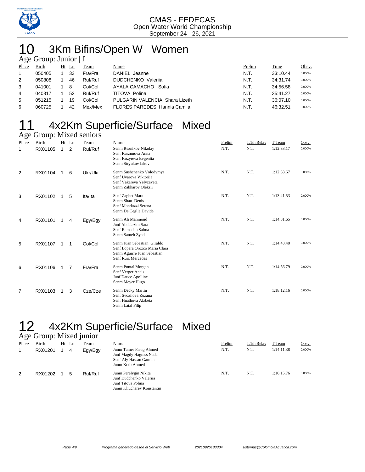

## 10 3Km Bifins/Open W Women

|                | Age Group: Junior $ f $ |  |         |         |                                     |        |          |        |  |  |  |
|----------------|-------------------------|--|---------|---------|-------------------------------------|--------|----------|--------|--|--|--|
| Place          | Birth                   |  | $Ht$ Ln | Team    | Name                                | Prelim | Time     | Obsv.  |  |  |  |
| $\overline{1}$ | 050405                  |  | 33      | Fra/Fra | DANIEL Jeanne                       | N.T.   | 33:10.44 | 0.000% |  |  |  |
| 2              | 050808                  |  | 46      | Ruf/Ruf | <b>DUDCHENKO</b> Valerija           | N.T.   | 34:31.74 | 0.000% |  |  |  |
| 3              | 041001                  |  | -8      | Col/Col | AYALA CAMACHO Sofia                 | N.T.   | 34:56.58 | 0.000% |  |  |  |
| 4              | 040317                  |  | 52      | Ruf/Ruf | TITOVA Polina                       | N.T.   | 35:41.27 | 0.000% |  |  |  |
| 5              | 051215                  |  | 19      | Col/Col | PULGARIN VALENCIA Shara Lizeth      | N.T.   | 36:07.10 | 0.000% |  |  |  |
| 6              | 060725                  |  | 42      | Mex/Mex | <b>FLORES PAREDES Hannia Camila</b> | N.T.   | 46:32.51 | 0.000% |  |  |  |

## 11 4x2Km Superficie/Surface Mixed

| Age Group: Mixed seniors |                         |              |              |                 |                                                                                                                    |                |                     |                      |                 |  |  |  |
|--------------------------|-------------------------|--------------|--------------|-----------------|--------------------------------------------------------------------------------------------------------------------|----------------|---------------------|----------------------|-----------------|--|--|--|
| Place<br>1               | <b>Birth</b><br>RX01105 | $\mathbf{1}$ | $Ht$ Ln<br>2 | Team<br>Ruf/Ruf | Name<br>Senm Reznikov Nikolay<br>Senf Karzunova Anna<br>Senf Kozyreva Evgeniia<br>Senm Stryukov Iakov              | Prelim<br>N.T. | T.1th.Relay<br>N.T. | T.Team<br>1:12:33.17 | Obsv.<br>0.000% |  |  |  |
| 2                        | RX01104                 |              | 6            | Ukr/Ukr         | Senm Sushchenko Volodymyr<br>Senf Uvarova Viktoriia<br>Senf Vakareva Yelyzaveta<br>Senm Zakharov Oleksii           | N.T.           | N.T.                | 1:12:33.67           | 0.000%          |  |  |  |
| 3                        | RX01102                 |              | 5            | Ita/Ita         | Senf Zaghet Mara<br>Senm Shao Denis<br>Senf Monduzzi Serena<br>Senm De Ceglie Davide                               | N.T.           | N.T.                | 1:13:41.53           | 0.000%          |  |  |  |
| 4                        | RX01101                 | 1            | 4            | Egy/Egy         | Senm Ali Mahmoud<br>Junf Abdelazim Sara<br>Senf Ramadan Salma<br>Senm Sameh Zyad                                   | N.T.           | N.T.                | 1:14:31.65           | 0.000%          |  |  |  |
| 5                        | RX01107                 | 1            | 1            | Col/Col         | Senm Juan Sebastian Giraldo<br>Senf Lopera Orozco Maria Clara<br>Senm Aguirre Juan Sebastian<br>Senf Ruiz Mercedes | N.T.           | N.T.                | 1:14:43.40           | 0.000%          |  |  |  |
| 6                        | RX01106                 | 1            | 7            | Fra/Fra         | Senm Pontal Morgan<br>Senf Verger Anais<br>Junf Dauce Apolline<br>Senm Meyer Hugo                                  | N.T.           | N.T.                | 1:14:56.79           | 0.000%          |  |  |  |
| $\overline{7}$           | RX01103                 |              | 3            | Cze/Cze         | Senm Decky Martin<br>Senf Svozilova Zuzana<br>Senf Hnathova Alzbeta<br>Senm Latal Filip                            | N.T.           | N.T.                | 1:18:12.16           | 0.000%          |  |  |  |

## 12 4x2Km Superficie/Surface Mixed

|              | Age Group: Mixed junior |    |    |         |                                                                                                      |        |             |            |        |  |  |  |
|--------------|-------------------------|----|----|---------|------------------------------------------------------------------------------------------------------|--------|-------------|------------|--------|--|--|--|
| <b>Place</b> | <b>Birth</b>            | Ht | Ln | Team    | Name                                                                                                 | Prelim | T.1th.Relav | T.Team     | Obsv.  |  |  |  |
|              | RX01201                 |    | 4  | Egy/Egy | Junm Tamer Farag Ahmed<br>Junf Magdy Hagrass Nada<br>Senf Aly Hassan Gamila<br>Junm Kotb Ahmed       | N.T.   | N.T.        | 1:14:11.38 | 0.000% |  |  |  |
| 2            | RX01202                 |    | 5  | Ruf/Ruf | Junm Perelygin Nikita<br>Junf Dudchenko Valerija<br>Junf Titova Polina<br>Junm Kliucharev Konstantin | N.T.   | N.T.        | 1:16:15.76 | 0.000% |  |  |  |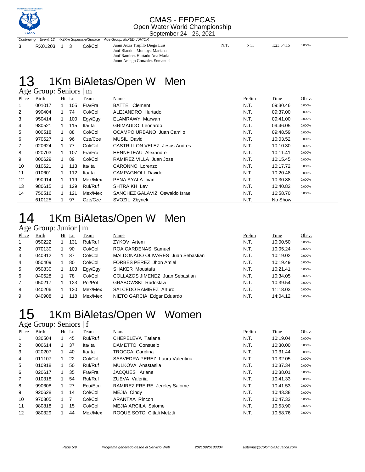

3 RX01203 1 3 Col/Col Junm Auza Trujillo Diego Luis N.T. N.T. 1:23:54.15 0.000%

Junf Blandon Montoya Mariana Junf Ramirez Hurtado Ana Maria Junm Arango Gonzalez Enmanuel

#### 1Km BiAletas/Open W Men Age Group: Seniors | m

|       | $1.80$ Oroup. Definition $\mu$ m. |    |         |         |                                      |        |          |        |
|-------|-----------------------------------|----|---------|---------|--------------------------------------|--------|----------|--------|
| Place | Birth                             |    | $Ht$ Ln | Team    | Name                                 | Prelim | Time     | Obsv.  |
| 1     | 001017                            |    | 105     | Fra/Fra | BATTE<br>Clement                     | N.T.   | 09:30.46 | 0.000% |
| 2     | 990404                            | 1  | 74      | Col/Col | ALEJANDRO Hurtado                    | N.T.   | 09:37.00 | 0.000% |
| 3     | 950414                            | 1  | 100     | Egy/Egy | <b>ELAMRAWY Marwan</b>               | N.T.   | 09:41.00 | 0.000% |
| 4     | 980521                            | 1  | 115     | Ita/Ita | <b>GRIMAUDO Leonardo</b>             | N.T.   | 09:46.05 | 0.000% |
| 5     | 000518                            |    | 88      | Col/Col | OCAMPO URBANO Juan Camilo            | N.T.   | 09:48.59 | 0.000% |
| 6     | 970627                            |    | 96      | Cze/Cze | <b>MUSIL David</b>                   | N.T.   | 10:03.52 | 0.000% |
| 7     | 020624                            | 1  | 77      | Col/Col | <b>CASTRILLON VELEZ Jesus Andres</b> | N.T.   | 10:10.30 | 0.000% |
| 8     | 020703                            |    | 107     | Fra/Fra | <b>HENNETEAU Alexandre</b>           | N.T.   | 10:11.41 | 0.000% |
| 9     | 000629                            |    | 89      | Col/Col | RAMIREZ VILLA Juan Jose              | N.T.   | 10:15.45 | 0.000% |
| 10    | 010621                            | 1  | 113     | Ita/Ita | CARONNO Lorenzo                      | N.T.   | 10:17.72 | 0.000% |
| 11    | 010601                            | 1  | 112     | Ita/Ita | <b>CAMPAGNOLI Davide</b>             | N.T.   | 10:20.48 | 0.000% |
| 12    | 990914                            | 1. | 119     | Mex/Mex | PENA AYALA Ivan                      | N.T.   | 10:30.88 | 0.000% |
| 13    | 980615                            | 1  | 129     | Ruf/Ruf | SHTRAIKH Lev                         | N.T.   | 10:40.82 | 0.000% |
| 14    | 750516                            |    | 121     | Mex/Mex | SANCHEZ GALAVIZ Oswaldo Israel       | N.T.   | 16:58.70 | 0.000% |
|       | 610125                            |    | 97      | Cze/Cze | SVOZIL Zbynek                        | N.T.   | No Show  |        |

## 1Km BiAletas/Open W Men

#### Age Group: Junior  $|m|$ <br>Place Birth Ht Ln Tes Place Birth Ht Ln Team Name Prelim Time Obsv. 050222 1 131 Ruf/Ruf ZYKOV Artem N.T. 10:00.50 0.000% 070130 1 90 Col/Col ROA CARDENAS Samuel N.T. 10:05.24 0.000% 040912 1 87 Col/Col MALDONADO OLIVARES Juan Sebastian N.T. 10:19.02 0.000% 050409 1 80 Col/Col FORBES PEREZ Jhon Amiel N.T. 10:19.49 0.000% 5 050830 1 103 Egy/Egy SHAKER Moustafa 1 10:21.41 0.000% 040628 1 78 Col/Col COLLAZOS JIMENEZ Juan Sebastian N.T. 10:34.05 0.000% 050217 1 123 Pol/Pol GRABOWSKI Radoslaw N.T. 10:39.54 0.000% 040206 1 120 Mex/Mex SALCEDO RAMIREZ Arturo N.T. 11:18.03 0.000% 040908 1 118 Mex/Mex NIETO GARCIA Edgar Eduardo N.T. 14:04.12 0.000%

## 1Km BiAletas/Open W Women

#### Age Group: Seniors | f

| Place          | Birth  | Ht | Ln | <b>Team</b> | Name                           | Prelim | <b>Time</b> | Obsv.  |
|----------------|--------|----|----|-------------|--------------------------------|--------|-------------|--------|
| $\mathbf{1}$   | 030504 |    | 45 | Ruf/Ruf     | CHEPELEVA Tatiana              | N.T.   | 10:19.04    | 0.000% |
| 2              | 000614 |    | 37 | Ita/Ita     | DAMETTO Consuelo               | N.T.   | 10:30.00    | 0.000% |
| 3              | 020207 |    | 40 | Ita/Ita     | <b>TROCCA Carolina</b>         | N.T.   | 10:31.44    | 0.000% |
| 4              | 011107 |    | 22 | Col/Col     | SAAVEDRA PEREZ Laura Valentina | N.T.   | 10:32.05    | 0.000% |
| 5              | 010918 |    | 50 | Ruf/Ruf     | MULKOVA Anastasija             | N.T.   | 10:37.34    | 0.000% |
| 6              | 020617 |    | 35 | Fra/Fra     | JACQUES Ariane                 | N.T.   | 10:38.01    | 0.000% |
| $\overline{7}$ | 010318 |    | 54 | Ruf/Ruf     | ZUEVA Valerija                 | N.T.   | 10:41.33    | 0.000% |
| 8              | 990608 |    | 27 | Ecu/Ecu     | RAMIREZ FREIRE Jereley Salome  | N.T.   | 10:41.53    | 0.000% |
| 9              | 920628 |    | 14 | Col/Col     | MEJIA Cindy                    | N.T.   | 10:43.38    | 0.000% |
| 10             | 970305 |    | 7  | Col/Col     | ARANTXA Rincon                 | N.T.   | 10:47.33    | 0.000% |
| 11             | 980818 |    | 15 | Col/Col     | <b>MEJIA ARCILA Salome</b>     | N.T.   | 10:53.90    | 0.000% |
| 12             | 980329 |    | 44 | Mex/Mex     | ROQUE SOTO Citiali Metztli     | N.T.   | 10:58.76    | 0.000% |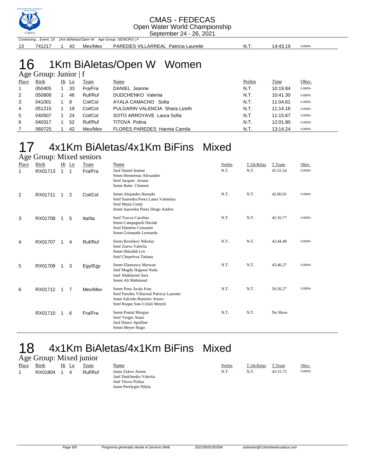

|    |  | Continuing Event: 15 1Km BiAletas/Open W Age Group: SENIORS   F |                                      |      |          |        |
|----|--|-----------------------------------------------------------------|--------------------------------------|------|----------|--------|
| 13 |  |                                                                 | PAREDES VILLARREAL Patricia Laurette | N.T. | 14:43.19 | 0.000% |
|    |  |                                                                 |                                      |      |          |        |

## 16 1Km BiAletas/Open W Women

|                | Age Group: Junior $ f $ |    |    |         |                                     |        |          |        |  |  |  |
|----------------|-------------------------|----|----|---------|-------------------------------------|--------|----------|--------|--|--|--|
| Place          | Birth                   | Ht | Ln | Team    | Name                                | Prelim | Time     | Obsv.  |  |  |  |
|                | 050405                  |    | 33 | Fra/Fra | DANIEL Jeanne                       | N.T.   | 10:19.84 | 0.000% |  |  |  |
| $\overline{2}$ | 050808                  |    | 46 | Ruf/Ruf | DUDCHENKO Valerija                  | N.T.   | 10:41.30 | 0.000% |  |  |  |
| 3              | 041001                  |    | 8  | Col/Col | AYALA CAMACHO Sofia                 | N.T.   | 11:04.61 | 0.000% |  |  |  |
| 4              | 051215                  |    | 19 | Col/Col | PULGARIN VALENCIA Shara Lizeth      | N.T.   | 11:14.16 | 0.000% |  |  |  |
| 5              | 040507                  |    | 24 | Col/Col | SOTO ARROYAVE Laura Sofia           | N.T.   | 11:15.67 | 0.000% |  |  |  |
| 6              | 040317                  |    | 52 | Ruf/Ruf | TITOVA Polina                       | N.T.   | 12:01.80 | 0.000% |  |  |  |
|                | 060725                  |    | 42 | Mex/Mex | <b>FLORES PAREDES Hannia Camila</b> | N.T.   | 13:14.24 | 0.000% |  |  |  |

#### 17 4x1Km BiAletas/4x1Km BiFins Mixed Age Group: Mixed seniors

| Place | $1.56$ STORP. MIACG SCHIOLD<br>Birth |              | Ht Ln          | Team    | Name                                                                                                                                | Prelim | T.1th.Relay | T.Team   | Obsv.  |
|-------|--------------------------------------|--------------|----------------|---------|-------------------------------------------------------------------------------------------------------------------------------------|--------|-------------|----------|--------|
| 1     | RX01713                              | $\mathbf{1}$ | 1              | Fra/Fra | Junf Daniel Jeanne<br>Senm Henneteau Alexandre<br>Senf Jacques Ariane<br>Senm Batte Clement                                         | N.T.   | N.T.        | 41:52.54 | 0.000% |
| 2     | RX01711                              | $\mathbf{1}$ | 2              | Col/Col | Senm Alejandro Hurtado<br>Senf Saavedra Perez Laura Valentina<br>Senf Mejia Cindy<br>Senm Saavedra Perez Diego Andres               | N.T.   | N.T.        | 42:06.91 | 0.000% |
| 3     | RX01708                              | $\mathbf 1$  | 5              | Ita/Ita | Senf Trocca Carolina<br>Senm Campagnoli Davide<br>Senf Dametto Consuelo<br>Senm Grimaudo Leonardo                                   | N.T.   | N.T.        | 42:16.77 | 0.000% |
| 4     | RX01707                              | 1            | 4              | Ruf/Ruf | Senm Reznikov Nikolay<br>Senf Zueva Valeriia<br>Senm Shtraikh Lev<br>Senf Chepeleva Tatiana                                         | N.T.   | N.T.        | 42:44.48 | 0.000% |
| 5     | RX01709                              | $\mathbf 1$  | 3              | Egy/Egy | Senm Elamrawy Marwan<br>Junf Magdy Hagrass Nada<br>Junf Abdelazim Sara<br>Senm Ali Mahmoud                                          | N.T.   | N.T.        | 43:46.27 | 0.000% |
| 6     | RX01712                              | 1            | $\overline{7}$ | Mex/Mex | Senm Pena Ayala Ivan<br>Senf Paredes Villarreal Patricia Laurette<br>Junm Salcedo Ramirez Arturo<br>Senf Roque Soto Citlali Metztli | N.T.   | N.T.        | 50:26.27 | 0.000% |
|       | RX01710                              | 1            | 6              | Fra/Fra | Senm Pontal Morgan<br>Senf Verger Anais<br>Junf Dauce Apolline<br>Senm Meyer Hugo                                                   | N.T.   | N.T.        | No Show  |        |

## 18 4x1Km BiAletas/4x1Km BiFins Mixed

## Age Group: Mixed junior

| -     |              |    |    |         |                         |        |             |          |        |
|-------|--------------|----|----|---------|-------------------------|--------|-------------|----------|--------|
| Place | <b>Birth</b> | Ht | Ln | Team    | Name                    | Prelim | T.1th.Relay | T.Team   | Obsv.  |
|       | RX01804      |    | 4  | Ruf/Ruf | Junm Zykov Artem        | N.T.   | N.T.        | 43:15.72 | 0.000% |
|       |              |    |    |         | Junf Dudchenko Valerija |        |             |          |        |
|       |              |    |    |         | Junf Titova Polina      |        |             |          |        |
|       |              |    |    |         | Junm Perelygin Nikita   |        |             |          |        |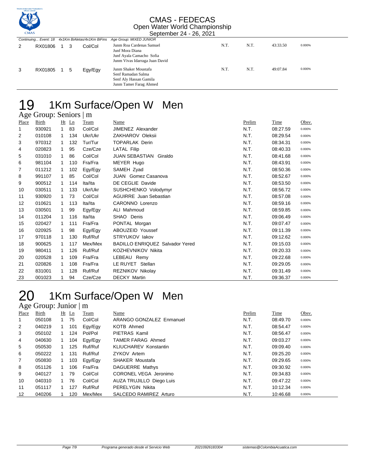

|   |             | Continuing Event: 18 4x1Km BiAletas/4x1Km BiFins Age Group: MIXED JUNIOR |  |         |                                                                                                           |      |      |          |        |
|---|-------------|--------------------------------------------------------------------------|--|---------|-----------------------------------------------------------------------------------------------------------|------|------|----------|--------|
|   | RX01806     | 1 3                                                                      |  | Col/Col | Junm Roa Cardenas Samuel<br>Junf Mora Diana<br>Junf Ayala Camacho Sofia<br>Junm Vivas Idarraga Juan David | N.T. | N.T. | 43:33.50 | 0.000% |
| 3 | RX01805 1 5 |                                                                          |  | Egy/Egy | Junm Shaker Moustafa<br>Senf Ramadan Salma<br>Senf Aly Hassan Gamila<br>Junm Tamer Farag Ahmed            | N.T. | N.T. | 49:07.84 | 0.000% |

## 19 1Km Surface/Open W Men

|       | Age Group: Seniors   m |             |     |         |                                        |        |          |        |
|-------|------------------------|-------------|-----|---------|----------------------------------------|--------|----------|--------|
| Place | Birth                  | Ht          | Ln  | Team    | Name                                   | Prelim | Time     | Obsv.  |
| 1     | 930921                 | 1           | 83  | Col/Col | <b>JIMENEZ Alexander</b>               | N.T.   | 08:27.59 | 0.000% |
| 2     | 010108                 | 1.          | 134 | Ukr/Ukr | ZAKHAROV Oleksii                       | N.T.   | 08:29.54 | 0.000% |
| 3     | 970312                 | 1           | 132 | Tur/Tur | <b>TOPARLAK Derin</b>                  | N.T.   | 08:34.31 | 0.000% |
| 4     | 020823                 | 1           | 95  | Cze/Cze | <b>LATAL Filip</b>                     | N.T.   | 08:40.33 | 0.000% |
| 5     | 031010                 | 1           | 86  | Col/Col | JUAN SEBASTIAN<br>Giraldo              | N.T.   | 08:41.68 | 0.000% |
| 6     | 981104                 | 1           | 110 | Fra/Fra | MEYER Hugo                             | N.T.   | 08:43.91 | 0.000% |
| 7     | 011212                 | 1           | 102 | Egy/Egy | SAMEH Zyad                             | N.T.   | 08:50.36 | 0.000% |
| 8     | 991107                 | 1.          | 85  | Col/Col | <b>JUAN</b> Gomez Casanova             | N.T.   | 08:52.67 | 0.000% |
| 9     | 900512                 | 1           | 114 | Ita/Ita | DE CEGLIE Davide                       | N.T.   | 08:53.50 | 0.000% |
| 10    | 030511                 | 1           | 133 | Ukr/Ukr | SUSHCHENKO Volodymyr                   | N.T.   | 08:56.72 | 0.000% |
| 11    | 930920                 | 1           | 73  | Col/Col | <b>AGUIRRE</b> Juan Sebastian          | N.T.   | 08:57.08 | 0.000% |
| 12    | 010621                 | 1.          | 113 | Ita/Ita | CARONNO Lorenzo                        | N.T.   | 08:59.16 | 0.000% |
| 13    | 030501                 | 1           | 99  | Egy/Egy | ALI Mahmoud                            | N.T.   | 08:59.85 | 0.000% |
| 14    | 011204                 | $\mathbf 1$ | 116 | Ita/Ita | SHAO Denis                             | N.T.   | 09:06.49 | 0.000% |
| 15    | 020427                 | 1           | 111 | Fra/Fra | PONTAL Morgan                          | N.T.   | 09:07.47 | 0.000% |
| 16    | 020925                 | 1           | 98  | Egy/Egy | ABOUZEID Youssef                       | N.T.   | 09:11.39 | 0.000% |
| 17    | 970118                 | 1.          | 130 | Ruf/Ruf | STRYUKOV lakov                         | N.T.   | 09:12.62 | 0.000% |
| 18    | 900625                 | 1           | 117 | Mex/Mex | <b>BADILLO ENRIQUEZ Salvador Yered</b> | N.T.   | 09:15.03 | 0.000% |
| 19    | 980411                 | 1           | 126 | Ruf/Ruf | KOZHEVNIKOV Nikita                     | N.T.   | 09:20.33 | 0.000% |
| 20    | 020528                 | 1           | 109 | Fra/Fra | LEBEAU Remy                            | N.T.   | 09:22.68 | 0.000% |
| 21    | 020826                 | 1           | 108 | Fra/Fra | LE RUYET Stellan                       | N.T.   | 09:29.05 | 0.000% |
| 22    | 831001                 | 1           | 128 | Ruf/Ruf | REZNIKOV Nikolay                       | N.T.   | 09:31.49 | 0.000% |
| 23    | 001023                 | 1           | 94  | Cze/Cze | <b>DECKY Martin</b>                    | N.T.   | 09:36.37 | 0.000% |

## 20 1Km Surface/Open W Men

|                | Age Group: Junior $\mid$ m |  |         |         |                              |        |          |        |  |  |  |
|----------------|----------------------------|--|---------|---------|------------------------------|--------|----------|--------|--|--|--|
| Place          | <b>Birth</b>               |  | $Ht$ Ln | Team    | <u>Name</u>                  | Prelim | Time     | Obsv.  |  |  |  |
| 1              | 050108                     |  | 75      | Col/Col | ARANGO GONZALEZ Enmanuel     | N.T.   | 08:49.70 | 0.000% |  |  |  |
| 2              | 040219                     |  | 101     | Egy/Egy | KOTB Ahmed                   | N.T.   | 08:54.47 | 0.000% |  |  |  |
| 3              | 050102                     |  | 124     | Pol/Pol | PIETRAS Kamil                | N.T.   | 08:56.47 | 0.000% |  |  |  |
| 4              | 040630                     |  | 104     | Egy/Egy | TAMER FARAG Ahmed            | N.T.   | 09:03.27 | 0.000% |  |  |  |
| 5              | 050530                     |  | 125     | Ruf/Ruf | <b>KLIUCHAREV Konstantin</b> | N.T.   | 09:09.40 | 0.000% |  |  |  |
| 6              | 050222                     |  | 131     | Ruf/Ruf | ZYKOV Artem                  | N.T.   | 09:25.20 | 0.000% |  |  |  |
| $\overline{7}$ | 050830                     |  | 103     | Egy/Egy | <b>SHAKER Moustafa</b>       | N.T.   | 09:29.65 | 0.000% |  |  |  |
| 8              | 051126                     |  | 106     | Fra/Fra | DAGUERRE Mathys              | N.T.   | 09:30.92 | 0.000% |  |  |  |
| 9              | 040127                     |  | 79      | Col/Col | CORONEL VEGA Jeronimo        | N.T.   | 09:34.83 | 0.000% |  |  |  |
| 10             | 040310                     |  | 76      | Col/Col | AUZA TRUJILLO Diego Luis     | N.T.   | 09:47.22 | 0.000% |  |  |  |
| 11             | 051117                     |  | 127     | Ruf/Ruf | <b>PERELYGIN Nikita</b>      | N.T.   | 10:12.34 | 0.000% |  |  |  |
| 12             | 040206                     |  | 120     | Mex/Mex | SALCEDO RAMIREZ Arturo       | N.T.   | 10:46.68 | 0.000% |  |  |  |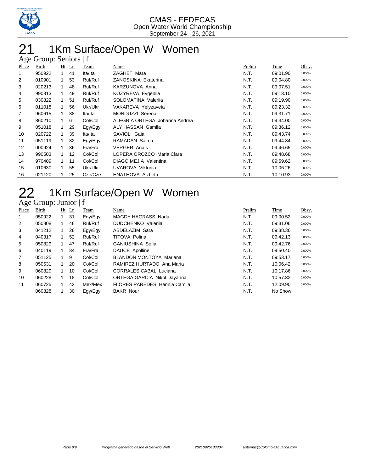

## 21 1Km Surface/Open W Women

|       | Age Group: Seniors   f |              |         |         |                               |        |          |        |  |  |  |
|-------|------------------------|--------------|---------|---------|-------------------------------|--------|----------|--------|--|--|--|
| Place | Birth                  |              | $Ht$ Ln | Team    | Name                          | Prelim | Time     | Obsv.  |  |  |  |
| 1     | 950922                 | $\mathbf{1}$ | 41      | Ita/Ita | ZAGHET Mara                   | N.T.   | 09:01.90 | 0.000% |  |  |  |
| 2     | 010901                 |              | 53      | Ruf/Ruf | ZANOSKINA Ekaterina           | N.T.   | 09:04.80 | 0.000% |  |  |  |
| 3     | 020213                 | 1            | 48      | Ruf/Ruf | KARZUNOVA Anna                | N.T.   | 09:07.51 | 0.000% |  |  |  |
| 4     | 990813                 |              | 49      | Ruf/Ruf | KOZYREVA Evgenija             | N.T.   | 09:13.10 | 0.000% |  |  |  |
| 5     | 030822                 |              | 51      | Ruf/Ruf | SOLOMATINA Valerija           | N.T.   | 09:19.90 | 0.000% |  |  |  |
| 6     | 011018                 |              | 56      | Ukr/Ukr | VAKAREVA Yelyzaveta           | N.T.   | 09:23.32 | 0.000% |  |  |  |
| 7     | 960615                 |              | 38      | Ita/Ita | MONDUZZI Serena               | N.T.   | 09:31.71 | 0.000% |  |  |  |
| 8     | 860210                 |              | 6       | Col/Col | ALEGRIA ORTEGA Johanna Andrea | N.T.   | 09:34.00 | 0.000% |  |  |  |
| 9     | 051018                 | $\mathbf{1}$ | 29      | Egy/Egy | <b>ALY HASSAN Gamila</b>      | N.T.   | 09:36.12 | 0.000% |  |  |  |
| 10    | 020722                 |              | 39      | Ita/Ita | SAVIOLI Gaia                  | N.T.   | 09:43.74 | 0.000% |  |  |  |
| 11    | 051119                 |              | 32      | Egy/Egy | RAMADAN Salma                 | N.T.   | 09:44.84 | 0.000% |  |  |  |
| 12    | 000924                 | $\mathbf{1}$ | 36      | Fra/Fra | <b>VERGER Anais</b>           | N.T.   | 09:46.65 | 0.000% |  |  |  |
| 13    | 990503                 | 1.           | 12      | Col/Col | LOPERA OROZCO Maria Clara     | N.T.   | 09:48.68 | 0.000% |  |  |  |
| 14    | 970409                 | 1            | 11      | Col/Col | DIAGO MEJIA Valentina         | N.T.   | 09:59.62 | 0.000% |  |  |  |
| 15    | 010630                 |              | 55      | Ukr/Ukr | UVAROVA Viktorija             | N.T.   | 10:06.26 | 0.000% |  |  |  |
| 16    | 021120                 |              | 25      | Cze/Cze | <b>HNATHOVA Alzbeta</b>       | N.T.   | 10:10.93 | 0.000% |  |  |  |

## 22 1Km Surface/Open W Women

#### Age Group: Junior | f

| Place          | Birth  |              | $Ht$ Ln | Team    | Name                                | Prelim | Time     | Obsv.  |
|----------------|--------|--------------|---------|---------|-------------------------------------|--------|----------|--------|
| 1              | 050922 | 1            | 31      | Egy/Egy | MAGDY HAGRASS Nada                  | N.T.   | 09:00.52 | 0.000% |
| 2              | 050808 | 1.           | 46      | Ruf/Ruf | <b>DUDCHENKO</b> Valerija           | N.T.   | 09:31.06 | 0.000% |
| 3              | 041212 |              | 28      | Egy/Egy | ABDELAZIM Sara                      | N.T.   | 09:38.36 | 0.000% |
| 4              | 040317 |              | 52      | Ruf/Ruf | <b>TITOVA Polina</b>                | N.T.   | 09:42.13 | 0.000% |
| 5              | 050829 |              | 47      | Ruf/Ruf | GANIUSHINA Sofia                    | N.T.   | 09:42.76 | 0.000% |
| 6              | 040119 |              | 34      | Fra/Fra | DAUCE Apolline                      | N.T.   | 09:50.40 | 0.000% |
| $\overline{7}$ | 051125 | $\mathbf{1}$ | 9       | Col/Col | BLANDON MONTOYA Mariana             | N.T.   | 09:53.17 | 0.000% |
| 8              | 050531 |              | 20      | Col/Col | RAMIREZ HURTADO Ana Maria           | N.T.   | 10:06.42 | 0.000% |
| 9              | 060829 |              | 10      | Col/Col | <b>CORRALES CABAL Luciana</b>       | N.T.   | 10:17.86 | 0.000% |
| 10             | 060228 |              | 18      | Col/Col | <b>ORTEGA GARCIA Nikol Dayanna</b>  | N.T.   | 10:57.82 | 0.000% |
| 11             | 060725 | 1.           | 42      | Mex/Mex | <b>FLORES PAREDES Hannia Camila</b> | N.T.   | 12:09.90 | 0.000% |
|                | 060828 |              | 30      | Egy/Egy | <b>BAKR Nour</b>                    | N.T.   | No Show  |        |